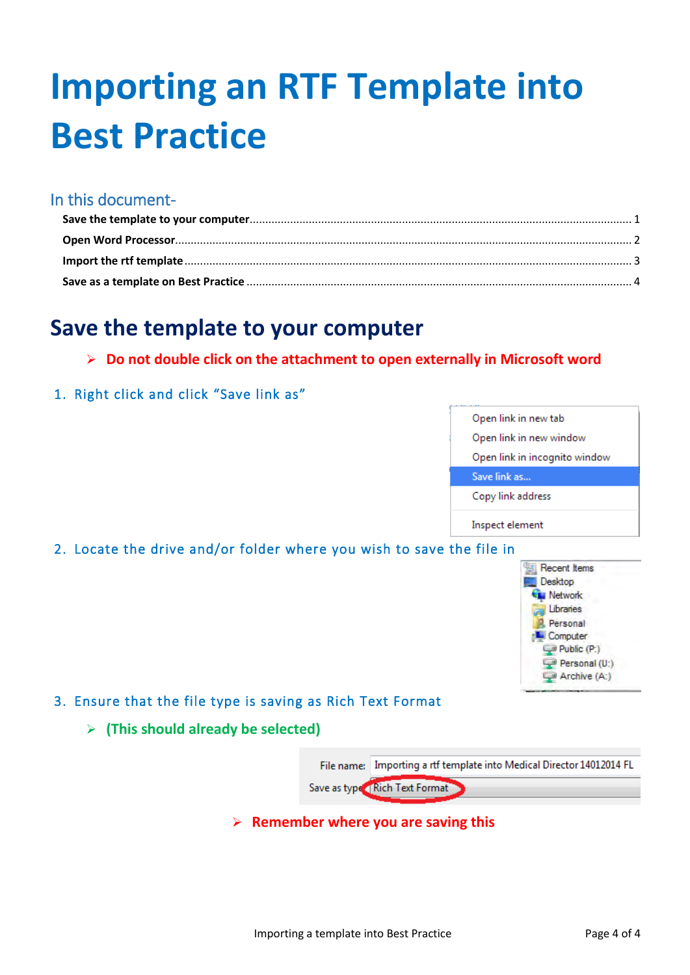# **Importing an RTF Template into Best Practice**

## In this document-

## **Save the template to your computer**

- ¾ **Do not double click on the attachment to open externally in Microsoft word**
- 1. Right click and click "Save link as"



2. Locate the drive and/or folder where you wish to save the file in



- 3. Ensure that the file type is saving as Rich Text Format
	- ¾ **(This should already be selected)**



¾ **Remember where you are saving this**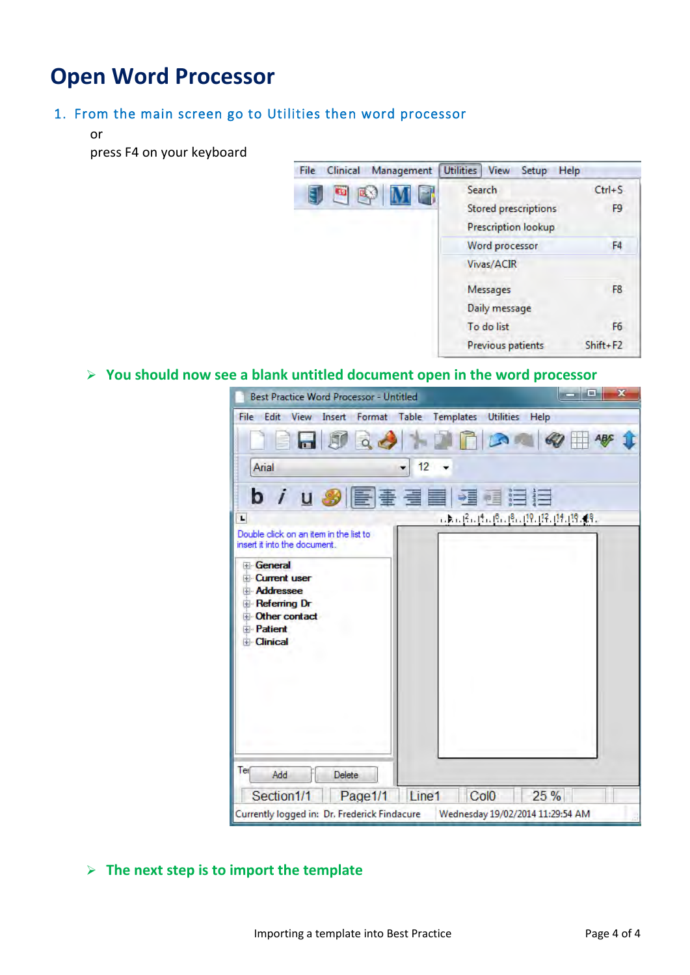# **Open Word Processor**

### 1. From the main screen go to Utilities then word processor

or

press F4 on your keyboard

| File<br>Clinical<br>Management | <b>Utilities</b><br><b>View</b><br>Setup<br>Help                               |                        |
|--------------------------------|--------------------------------------------------------------------------------|------------------------|
| 19<br><b>DE V</b>              | Search<br><b>Stored prescriptions</b><br>Prescription lookup<br>Word processor | $Ctrl + S$<br>F9<br>F4 |
|                                | Vivas/ACIR<br>Messages<br>Daily message<br>To do list                          | F8<br>F6               |
|                                | Previous patients                                                              | Shift+F2               |

#### ¾ **You should now see a blank untitled document open in the word processor**

| <b>Best Practice Word Processor - Untitled</b>                                                                                                | $\mathbf x$<br>- El                             |
|-----------------------------------------------------------------------------------------------------------------------------------------------|-------------------------------------------------|
| File Edit<br>View                                                                                                                             | Insert Format Table Templates<br>Utilities Help |
| <b>n</b> 50<br>Q                                                                                                                              |                                                 |
| Arial                                                                                                                                         | 12                                              |
|                                                                                                                                               |                                                 |
| L                                                                                                                                             | JANE JENE RIJENIE (19. 13. 15. 15. 15. 16.      |
| Double click on an item in the list to<br>insert it into the document.                                                                        |                                                 |
| <b>General</b><br><b>Current user</b><br><b>Addressee</b><br>Referring Dr<br>Other contact<br><b>F</b> <sup></sup> Patient<br><b>Elinical</b> |                                                 |
| Tel<br>Add<br>Delete                                                                                                                          |                                                 |
| Section1/1<br>Page1/1                                                                                                                         | 25 %<br>Line1<br>Col <sub>0</sub>               |
| Currently logged in: Dr. Frederick Findacure                                                                                                  | Wednesday 19/02/2014 11:29:54 AM                |

## ¾ **The next step is to import the template**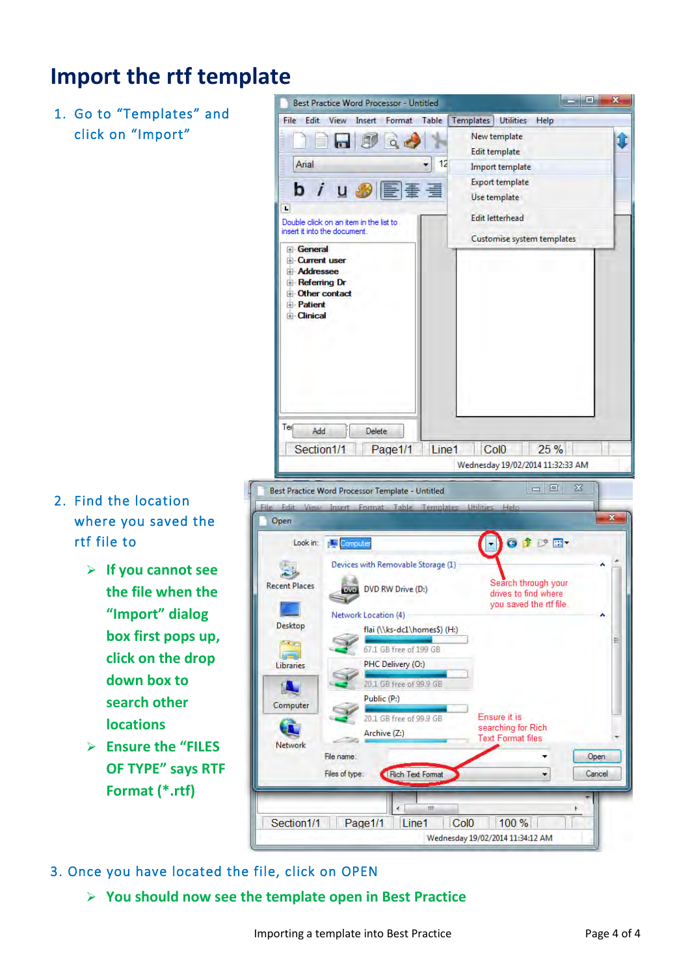# **Import the rtf template**

1. Go to "Templates" and click on "Import"

- 2. Find the location where you saved the rtf file to
	- ¾ **If you cannot see the file when the "Import" dialog box first pops up, click on the drop down box to search other locations**
	- ¾ **Ensure the "FILES OF TYPE" says RTF Format (\*.rtf)**



- 3. Once you have located the file, click on OPEN
	- ¾ **You should now see the template open in Best Practice**